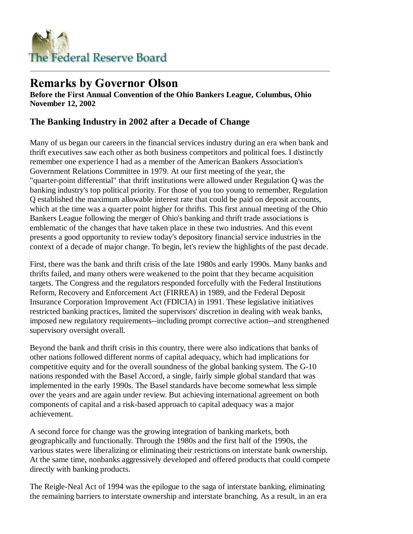

## **Remarks by Governor Olson**

**Before the First Annual Convention of the Ohio Bankers League, Columbus, Ohio November 12, 2002**

## **The Banking Industry in 2002 after a Decade of Change**

Many of us began our careers in the financial services industry during an era when bank and thrift executives saw each other as both business competitors and political foes. I distinctly remember one experience I had as a member of the American Bankers Association's Government Relations Committee in 1979. At our first meeting of the year, the "quarter-point differential" that thrift institutions were allowed under Regulation Q was the banking industry's top political priority. For those of you too young to remember, Regulation Q established the maximum allowable interest rate that could be paid on deposit accounts, which at the time was a quarter point higher for thrifts. This first annual meeting of the Ohio Bankers League following the merger of Ohio's banking and thrift trade associations is emblematic of the changes that have taken place in these two industries. And this event presents a good opportunity to review today's depository financial service industries in the context of a decade of major change. To begin, let's review the highlights of the past decade.

First, there was the bank and thrift crisis of the late 1980s and early 1990s. Many banks and thrifts failed, and many others were weakened to the point that they became acquisition targets. The Congress and the regulators responded forcefully with the Federal Institutions Reform, Recovery and Enforcement Act (FIRREA) in 1989, and the Federal Deposit Insurance Corporation Improvement Act (FDICIA) in 1991. These legislative initiatives restricted banking practices, limited the supervisors' discretion in dealing with weak banks, imposed new regulatory requirements--including prompt corrective action--and strengthened supervisory oversight overall.

Beyond the bank and thrift crisis in this country, there were also indications that banks of other nations followed different norms of capital adequacy, which had implications for competitive equity and for the overall soundness of the global banking system. The G-10 nations responded with the Basel Accord, a single, fairly simple global standard that was implemented in the early 1990s. The Basel standards have become somewhat less simple over the years and are again under review. But achieving international agreement on both components of capital and a risk-based approach to capital adequacy was a major achievement.

A second force for change was the growing integration of banking markets, both geographically and functionally. Through the 1980s and the first half of the 1990s, the various states were liberalizing or eliminating their restrictions on interstate bank ownership. At the same time, nonbanks aggressively developed and offered products that could compete directly with banking products.

The Reigle-Neal Act of 1994 was the epilogue to the saga of interstate banking, eliminating the remaining barriers to interstate ownership and interstate branching. As a result, in an era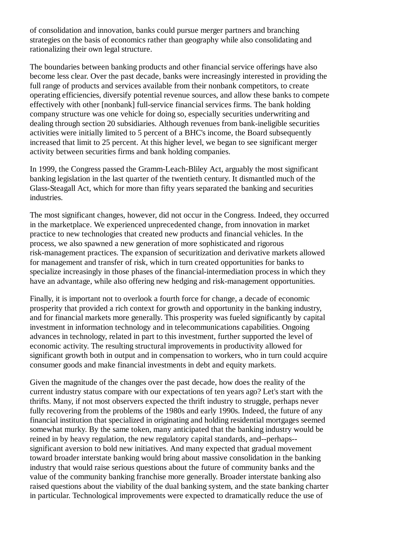of consolidation and innovation, banks could pursue merger partners and branching strategies on the basis of economics rather than geography while also consolidating and rationalizing their own legal structure.

The boundaries between banking products and other financial service offerings have also become less clear. Over the past decade, banks were increasingly interested in providing the full range of products and services available from their nonbank competitors, to create operating efficiencies, diversify potential revenue sources, and allow these banks to compete effectively with other [nonbank] full-service financial services firms. The bank holding company structure was one vehicle for doing so, especially securities underwriting and dealing through section 20 subsidiaries. Although revenues from bank-ineligible securities activities were initially limited to 5 percent of a BHC's income, the Board subsequently increased that limit to 25 percent. At this higher level, we began to see significant merger activity between securities firms and bank holding companies.

In 1999, the Congress passed the Gramm-Leach-Bliley Act, arguably the most significant banking legislation in the last quarter of the twentieth century. It dismantled much of the Glass-Steagall Act, which for more than fifty years separated the banking and securities industries.

The most significant changes, however, did not occur in the Congress. Indeed, they occurred in the marketplace. We experienced unprecedented change, from innovation in market practice to new technologies that created new products and financial vehicles. In the process, we also spawned a new generation of more sophisticated and rigorous risk-management practices. The expansion of securitization and derivative markets allowed for management and transfer of risk, which in turn created opportunities for banks to specialize increasingly in those phases of the financial-intermediation process in which they have an advantage, while also offering new hedging and risk-management opportunities.

Finally, it is important not to overlook a fourth force for change, a decade of economic prosperity that provided a rich context for growth and opportunity in the banking industry, and for financial markets more generally. This prosperity was fueled significantly by capital investment in information technology and in telecommunications capabilities. Ongoing advances in technology, related in part to this investment, further supported the level of economic activity. The resulting structural improvements in productivity allowed for significant growth both in output and in compensation to workers, who in turn could acquire consumer goods and make financial investments in debt and equity markets.

Given the magnitude of the changes over the past decade, how does the reality of the current industry status compare with our expectations of ten years ago? Let's start with the thrifts. Many, if not most observers expected the thrift industry to struggle, perhaps never fully recovering from the problems of the 1980s and early 1990s. Indeed, the future of any financial institution that specialized in originating and holding residential mortgages seemed somewhat murky. By the same token, many anticipated that the banking industry would be reined in by heavy regulation, the new regulatory capital standards, and--perhaps- significant aversion to bold new initiatives. And many expected that gradual movement toward broader interstate banking would bring about massive consolidation in the banking industry that would raise serious questions about the future of community banks and the value of the community banking franchise more generally. Broader interstate banking also raised questions about the viability of the dual banking system, and the state banking charter in particular. Technological improvements were expected to dramatically reduce the use of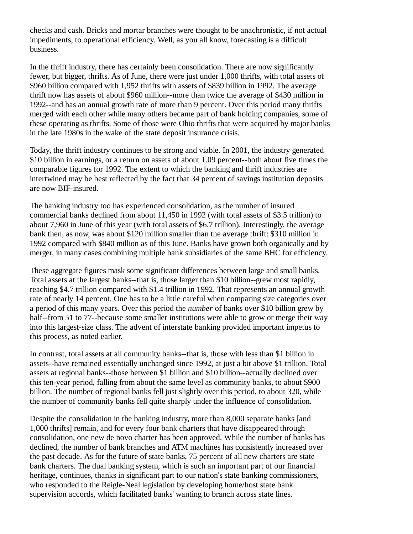checks and cash. Bricks and mortar branches were thought to be anachronistic, if not actual impediments, to operational efficiency. Well, as you all know, forecasting is a difficult business.

In the thrift industry, there has certainly been consolidation. There are now significantly fewer, but bigger, thrifts. As of June, there were just under 1,000 thrifts, with total assets of \$960 billion compared with 1,952 thrifts with assets of \$839 billion in 1992. The average thrift now has assets of about \$960 million--more than twice the average of \$430 million in 1992--and has an annual growth rate of more than 9 percent. Over this period many thrifts merged with each other while many others became part of bank holding companies, some of these operating as thrifts. Some of those were Ohio thrifts that were acquired by major banks in the late 1980s in the wake of the state deposit insurance crisis.

Today, the thrift industry continues to be strong and viable. In 2001, the industry generated \$10 billion in earnings, or a return on assets of about 1.09 percent--both about five times the comparable figures for 1992. The extent to which the banking and thrift industries are intertwined may be best reflected by the fact that 34 percent of savings institution deposits are now BIF-insured.

The banking industry too has experienced consolidation, as the number of insured commercial banks declined from about 11,450 in 1992 (with total assets of \$3.5 trillion) to about 7,960 in June of this year (with total assets of \$6.7 trillion). Interestingly, the average bank then, as now, was about \$120 million smaller than the average thrift: \$310 million in 1992 compared with \$840 million as of this June. Banks have grown both organically and by merger, in many cases combining multiple bank subsidiaries of the same BHC for efficiency.

These aggregate figures mask some significant differences between large and small banks. Total assets at the largest banks--that is, those larger than \$10 billion--grew most rapidly, reaching \$4.7 trillion compared with \$1.4 trillion in 1992. That represents an annual growth rate of nearly 14 percent. One has to be a little careful when comparing size categories over a period of this many years. Over this period the *number* of banks over \$10 billion grew by half--from 51 to 77--because some smaller institutions were able to grow or merge their way into this largest-size class. The advent of interstate banking provided important impetus to this process, as noted earlier.

In contrast, total assets at all community banks--that is, those with less than \$1 billion in assets--have remained essentially unchanged since 1992, at just a bit above \$1 trillion. Total assets at regional banks--those between \$1 billion and \$10 billion--actually declined over this ten-year period, falling from about the same level as community banks, to about \$900 billion. The number of regional banks fell just slightly over this period, to about 320, while the number of community banks fell quite sharply under the influence of consolidation.

Despite the consolidation in the banking industry, more than 8,000 separate banks [and 1,000 thrifts] remain, and for every four bank charters that have disappeared through consolidation, one new de novo charter has been approved. While the number of banks has declined, the number of bank branches and ATM machines has consistently increased over the past decade. As for the future of state banks, 75 percent of all new charters are state bank charters. The dual banking system, which is such an important part of our financial heritage, continues, thanks in significant part to our nation's state banking commissioners, who responded to the Reigle-Neal legislation by developing home/host state bank supervision accords, which facilitated banks' wanting to branch across state lines.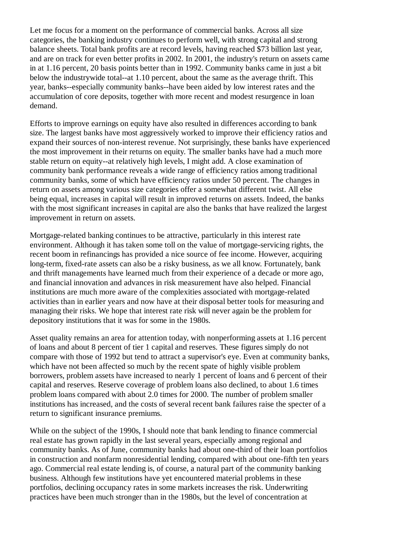Let me focus for a moment on the performance of commercial banks. Across all size categories, the banking industry continues to perform well, with strong capital and strong balance sheets. Total bank profits are at record levels, having reached \$73 billion last year, and are on track for even better profits in 2002. In 2001, the industry's return on assets came in at 1.16 percent, 20 basis points better than in 1992. Community banks came in just a bit below the industrywide total--at 1.10 percent, about the same as the average thrift. This year, banks--especially community banks--have been aided by low interest rates and the accumulation of core deposits, together with more recent and modest resurgence in loan demand.

Efforts to improve earnings on equity have also resulted in differences according to bank size. The largest banks have most aggressively worked to improve their efficiency ratios and expand their sources of non-interest revenue. Not surprisingly, these banks have experienced the most improvement in their returns on equity. The smaller banks have had a much more stable return on equity--at relatively high levels, I might add. A close examination of community bank performance reveals a wide range of efficiency ratios among traditional community banks, some of which have efficiency ratios under 50 percent. The changes in return on assets among various size categories offer a somewhat different twist. All else being equal, increases in capital will result in improved returns on assets. Indeed, the banks with the most significant increases in capital are also the banks that have realized the largest improvement in return on assets.

Mortgage-related banking continues to be attractive, particularly in this interest rate environment. Although it has taken some toll on the value of mortgage-servicing rights, the recent boom in refinancings has provided a nice source of fee income. However, acquiring long-term, fixed-rate assets can also be a risky business, as we all know. Fortunately, bank and thrift managements have learned much from their experience of a decade or more ago, and financial innovation and advances in risk measurement have also helped. Financial institutions are much more aware of the complexities associated with mortgage-related activities than in earlier years and now have at their disposal better tools for measuring and managing their risks. We hope that interest rate risk will never again be the problem for depository institutions that it was for some in the 1980s.

Asset quality remains an area for attention today, with nonperforming assets at 1.16 percent of loans and about 8 percent of tier 1 capital and reserves. These figures simply do not compare with those of 1992 but tend to attract a supervisor's eye. Even at community banks, which have not been affected so much by the recent spate of highly visible problem borrowers, problem assets have increased to nearly 1 percent of loans and 6 percent of their capital and reserves. Reserve coverage of problem loans also declined, to about 1.6 times problem loans compared with about 2.0 times for 2000. The number of problem smaller institutions has increased, and the costs of several recent bank failures raise the specter of a return to significant insurance premiums.

While on the subject of the 1990s, I should note that bank lending to finance commercial real estate has grown rapidly in the last several years, especially among regional and community banks. As of June, community banks had about one-third of their loan portfolios in construction and nonfarm nonresidential lending, compared with about one-fifth ten years ago. Commercial real estate lending is, of course, a natural part of the community banking business. Although few institutions have yet encountered material problems in these portfolios, declining occupancy rates in some markets increases the risk. Underwriting practices have been much stronger than in the 1980s, but the level of concentration at